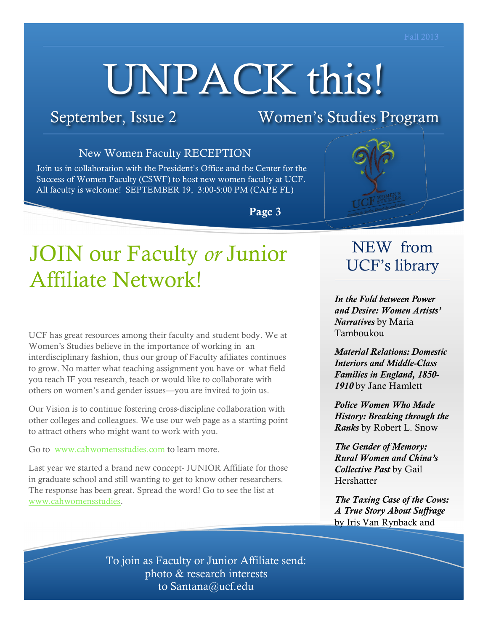# UNPACK this!

September, Issue 2 Women's Studies Program

### New Women Faculty RECEPTION

Join us in collaboration with the President's Office and the Center for the Success of Women Faculty (CSWF) to host new women faculty at UCF. All faculty is welcome! SEPTEMBER 19, 3:00-5:00 PM (CAPE FL)

Page 3

# JOIN our Faculty *or* Junior Affiliate Network!

UCF has great resources among their faculty and student body. We at Women's Studies believe in the importance of working in an interdisciplinary fashion, thus our group of Faculty afiliates continues to grow. No matter what teaching assignment you have or what field you teach IF you research, teach or would like to collaborate with others on women's and gender issues—you are invited to join us.

Our Vision is to continue fostering cross-discipline collaboration with other colleges and colleagues. We use our web page as a starting point to attract others who might want to work with you.

Go to www.cahwomensstudies.com to learn more.

Last year we started a brand new concept- JUNIOR Affiliate for those in graduate school and still wanting to get to know other researchers. The response has been great. Spread the word! Go to see the list at www.cahwomensstudies.



*In the Fold between Power and Desire: Women Artists' Narratives* by Maria Tamboukou

*Material Relations: Domestic Interiors and Middle-Class Families in England, 1850- 1910* by Jane Hamlett

*Police Women Who Made History: Breaking through the Ranks* by Robert L. Snow

*The Gender of Memory: Rural Women and China's Collective Past* by Gail Hershatter

*The Taxing Case of the Cows: A True Story About Suffrage* by Iris Van Rynback and

To join as Faculty or Junior Affiliate send: photo & research interests to Santana@ucf.edu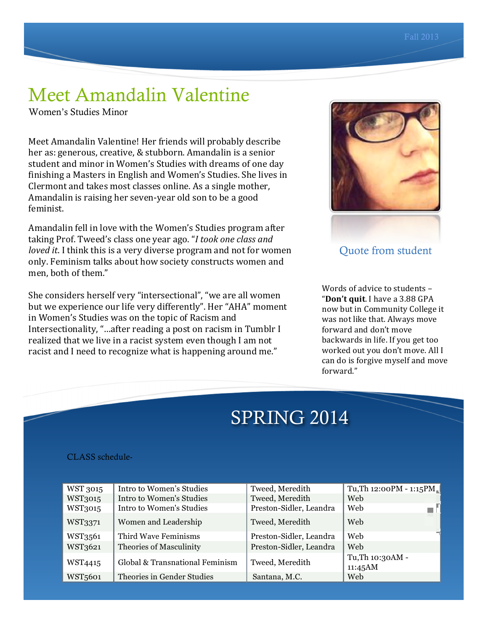# Meet Amandalin Valentine

Women's Studies Minor

Meet Amandalin Valentine! Her friends will probably describe her as: generous, creative, & stubborn. Amandalin is a senior student and minor in Women's Studies with dreams of one day finishing a Masters in English and Women's Studies. She lives in Clermont and takes most classes online. As a single mother, Amandalin is raising her seven-year old son to be a good feminist.

Amandalin fell in love with the Women's Studies program after taking Prof. Tweed's class one year ago. "*I took one class and loved it.* I think this is a very diverse program and not for women only. Feminism talks about how society constructs women and men, both of them."

She considers herself very "intersectional", "we are all women but we experience our life very differently". Her "AHA" moment in Women's Studies was on the topic of Racism and Intersectionality, "...after reading a post on racism in Tumblr I realized that we live in a racist system even though I am not racist and I need to recognize what is happening around me."



Quote from student

Words of advice to students  $-$ "Don't quit. I have a 3.88 GPA now but in Community College it was not like that. Always move forward and don't move backwards in life. If you get too worked out you don't move. All I can do is forgive myself and move forward."

# SPRING 2014

### CLASS schedule-

| WST 3015             | Intro to Women's Studies        | Tweed, Meredith         | Tu, Th 12:00PM - 1:15PM     |
|----------------------|---------------------------------|-------------------------|-----------------------------|
| WST3015              | Intro to Women's Studies        | Tweed, Meredith         | Web                         |
| WST3015              | Intro to Women's Studies        | Preston-Sidler, Leandra | Web                         |
| WST3371              | Women and Leadership            | Tweed, Meredith         | Web                         |
| WST3561              | Third Wave Feminisms            | Preston-Sidler, Leandra | Web                         |
| WST3621              | Theories of Masculinity         | Preston-Sidler, Leandra | Web                         |
| WST4415              | Global & Transnational Feminism | Tweed, Meredith         | Tu, Th 10:30AM -<br>11:45AM |
| WST <sub>5</sub> 601 | Theories in Gender Studies      | Santana, M.C.           | Web                         |

2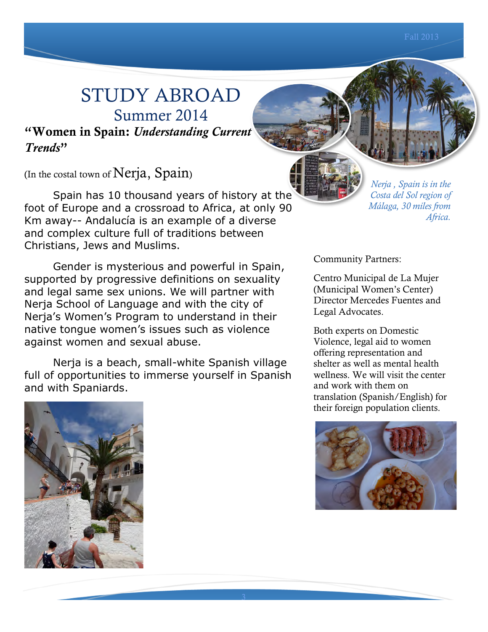# STUDY ABROAD Summer 2014

"Women in Spain: *Understanding Current Trends*"

(In the costal town of Nerja, Spain)

Spain has 10 thousand years of history at the foot of Europe and a crossroad to Africa, at only 90 Km away-- Andalucía is an example of a diverse and complex culture full of traditions between Christians, Jews and Muslims.

Gender is mysterious and powerful in Spain, supported by progressive definitions on sexuality and legal same sex unions. We will partner with Nerja School of Language and with the city of Nerja's Women's Program to understand in their native tongue women's issues such as violence against women and sexual abuse.

Nerja is a beach, small-white Spanish village full of opportunities to immerse yourself in Spanish and with Spaniards.

*Nerja , Spain is in the Costa del Sol region of Málaga, 30 miles from Africa.*

Community Partners:

Centro Municipal de La Mujer (Municipal Women's Center) Director Mercedes Fuentes and Legal Advocates.

Both experts on Domestic Violence, legal aid to women offering representation and shelter as well as mental health wellness. We will visit the center and work with them on translation (Spanish/English) for their foreign population clients.



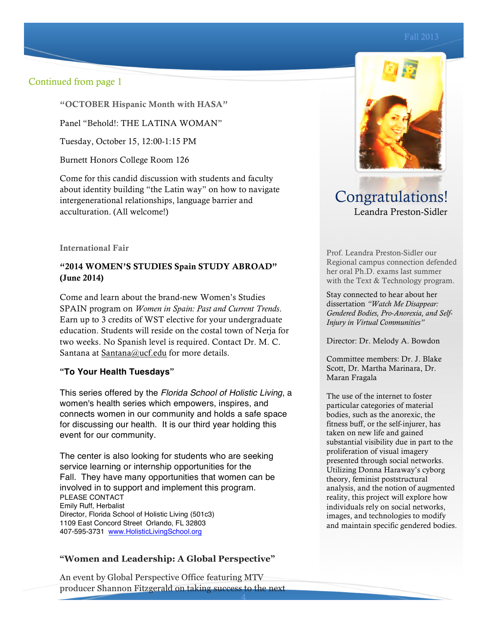### Continued from page 1

"OCTOBER Hispanic Month with HASA"

Panel "Behold!: THE LATINA WOMAN"

Tuesday, October 15, 12:00-1:15 PM

Burnett Honors College Room 126

Come for this candid discussion with students and faculty about identity building "the Latin way" on how to navigate intergenerational relationships, language barrier and acculturation. (All welcome!)

International Fair

### "2014 WOMEN'S STUDIES Spain STUDY ABROAD" (June 2014)

Come and learn about the brand-new Women's Studies SPAIN program on *Women in Spain: Past and Current Trends*. Earn up to 3 credits of WST elective for your undergraduate education. Students will reside on the costal town of Nerja for two weeks. No Spanish level is required. Contact Dr. M. C. Santana at Santana@ucf.edu for more details.

### **"To Your Health Tuesdays"**

This series offered by the *Florida School of Holistic Living*, a women's health series which empowers, inspires, and connects women in our community and holds a safe space for discussing our health. It is our third year holding this event for our community.

The center is also looking for students who are seeking service learning or internship opportunities for the Fall. They have many opportunities that women can be involved in to support and implement this program. PLEASE CONTACT Emily Ruff, Herbalist Director, Florida School of Holistic Living (501c3) 1109 East Concord Street Orlando, FL 32803 407-595-3731 www.HolisticLivingSchool.org

### **"Women and Leadership: A Global Perspective"**

An event by Global Perspective Office featuring MTV producer Shannon Fitzgerald on taking success to the next

4



Congratulations! Leandra Preston-Sidler

Prof. Leandra Preston-Sidler our Regional campus connection defended her oral Ph.D. exams last summer with the Text & Technology program.

Stay connected to hear about her dissertation *"Watch Me Disappear: Gendered Bodies, Pro-Anorexia, and Self-Injury in Virtual Communities"*

Director: Dr. Melody A. Bowdon

Committee members: Dr. J. Blake Scott, Dr. Martha Marinara, Dr. Maran Fragala

The use of the internet to foster particular categories of material bodies, such as the anorexic, the fitness buff, or the self-injurer, has taken on new life and gained substantial visibility due in part to the proliferation of visual imagery presented through social networks. Utilizing Donna Haraway's cyborg theory, feminist poststructural analysis, and the notion of augmented reality, this project will explore how individuals rely on social networks, images, and technologies to modify and maintain specific gendered bodies.